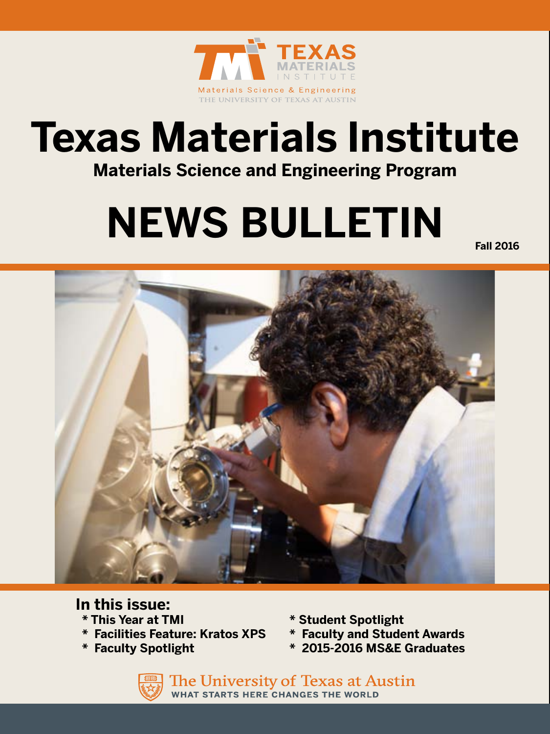

# **Texas Materials Institute**

**Materials Science and Engineering Program**

# **NEWS BULLETIN**

**Fall 2016**



### **In this issue:**

- 
- **\* Facilities Feature: Kratos XPS \* Faculty and Student Awards**
- 
- **\* This Year at TMI \* Student Spotlight**
	-
- **\* Faculty Spotlight \* 2015-2016 MS&E Graduates**

The University of Texas at Austin **WHAT STARTS HERE CHANGES THE WORLD**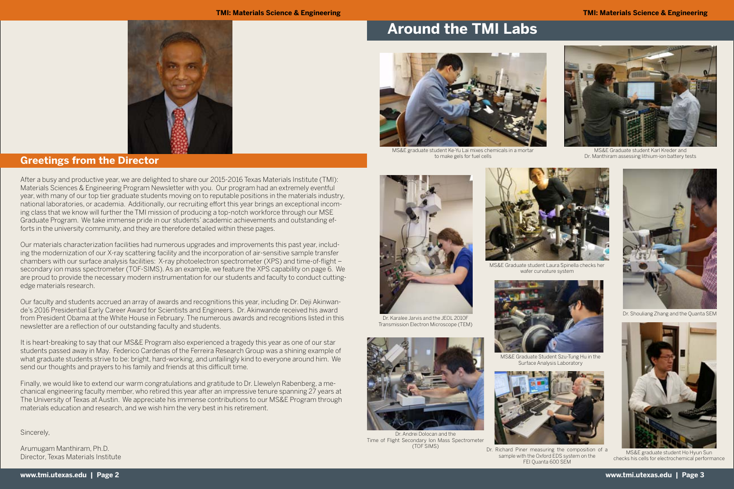**www.tmi.utexas.edu | Page 2 www.tmi.utexas.edu | Page 3**

After a busy and productive year, we are delighted to share our 2015-2016 Texas Materials Institute (TMI): Materials Sciences & Engineering Program Newsletter with you. Our program had an extremely eventful year, with many of our top tier graduate students moving on to reputable positions in the materials industry, national laboratories, or academia. Additionally, our recruiting effort this year brings an exceptional incoming class that we know will further the TMI mission of producing a top-notch workforce through our MSE Graduate Program. We take immense pride in our students' academic achievements and outstanding efforts in the university community, and they are therefore detailed within these pages.

Our materials characterization facilities had numerous upgrades and improvements this past year, including the modernization of our X-ray scattering facility and the incorporation of air-sensitive sample transfer chambers with our surface analysis facilities: X-ray photoelectron spectrometer (XPS) and time-of-flight – secondary ion mass spectrometer (TOF-SIMS). As an example, we feature the XPS capability on page 6. We are proud to provide the necessary modern instrumentation for our students and faculty to conduct cuttingedge materials research.

Our faculty and students accrued an array of awards and recognitions this year, including Dr. Deji Akinwande's 2016 Presidential Early Career Award for Scientists and Engineers. Dr. Akinwande received his award from President Obama at the White House in February. The numerous awards and recognitions listed in this newsletter are a reflection of our outstanding faculty and students.

It is heart-breaking to say that our MS&E Program also experienced a tragedy this year as one of our star students passed away in May. Federico Cardenas of the Ferreira Research Group was a shining example of what graduate students strive to be: bright, hard-working, and unfailingly kind to everyone around him. We send our thoughts and prayers to his family and friends at this difficult time.

Finally, we would like to extend our warm congratulations and gratitude to Dr. Llewelyn Rabenberg, a mechanical engineering faculty member, who retired this year after an impressive tenure spanning 27 years at The University of Texas at Austin. We appreciate his immense contributions to our MS&E Program through materials education and research, and we wish him the very best in his retirement.

Sincerely,

Arumugam Manthiram, Ph.D. Director, Texas Materials Institute

#### **TMI: Materials Science & Engineering TMI: Materials Science & Engineering**



### **Greetings from the Director**

# **Around the TMI Labs**



MS&E Graduate Student Szu-Tung Hu in the Surface Analysis Laboratory





MS&E Graduate student Karl Kreder and Dr. Manthiram assessing lithium-ion battery tests

Dr. Richard Piner measuring the composition of a sample with the Oxford EDS system on the FEI Quanta 600 SEM

Dr. Karalee Jarvis and the JEOL 2010F Transmission Electron Microscope (TEM)





Dr. Andrei Dolocan and the Time of Flight Secondary Ion Mass Spectrometer (TOF SIMS)



Dr. Shouliang Zhang and the Quanta SEM



MS&E graduate student Ke-Yu Lai mixes chemicals in a mortar to make gels for fuel cells





MS&E Graduate student Laura Spinella checks her wafer curvature system



MS&E graduate student Ho Hyun Sun checks his cells for electrochemical performance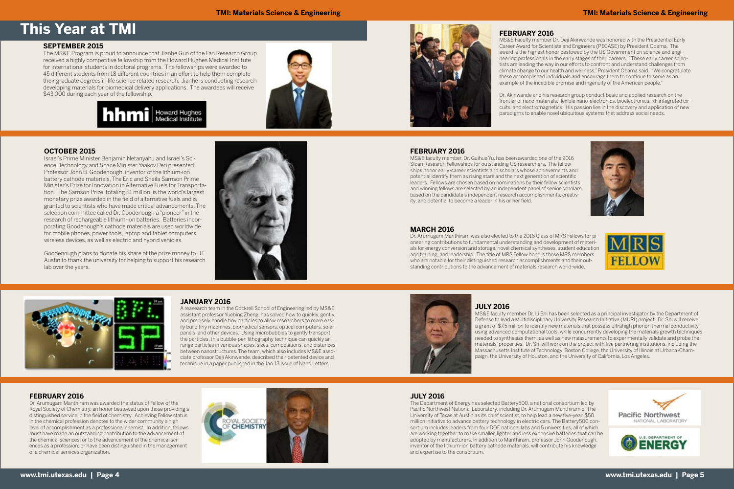#### **TMI: Materials Science & Engineering TMI: Materials Science & Engineering**

# **This Year at TMI FEBRUARY 2016**

MS&E Faculty member Dr. Deji Akinwande was honored with the Presidential Early Career Award for Scientists and Engineers (PECASE) by President Obama. The award is the highest honor bestowed by the US Government on science and engineering professionals in the early stages of their careers. "These early career scientists are leading the way in our efforts to confront and understand challenges from climate change to our health and wellness," President Obama said. "We congratulate these accomplished individuals and encourage them to continue to serve as an example of the incedible promise and ingenuity of the American people."

Dr. Akinwande and his research group conduct basic and applied research on the frontier of nano materials, flexible nano-electronics, bioelectronics, RF integrated circuits, and electromagnetics. His passion lies in the discovery and application of new paradigms to enable novel ubiquitous systems that address social needs.





### **FEBRUARY 2016**

Dr. Arumugam Manthiram was awarded the status of Fellow of the Royal Society of Chemistry, an honor bestowed upon those providing a distinguished service in the field of chemistry. Achieving Fellow status in the chemical profession denotes to the wider community a high level of accomplishment as a professional chemist. In addition, fellows must have made an outstanding contribution to the advancement of the chemical sciences; or to the advancement of the chemical sciences as a profession; or have been distinguished in the management of a chemical services organization.



## **FEBRUARY 2016**

MS&E faculty member, Dr. Guihua Yu, has been awarded one of the 2016 Sloan Research Fellowships for outstanding US researchers. The fellowships honor early-career scientists and scholars whose achievements and potential identify them as rising stars and the next generation of scientific leaders. Fellows are chosen based on nominations by their fellow scientists and winning fellows are selected by an independent panel of senior scholars based on the candidate's independent research accomplishments, creativity, and potential to become a leader in his or her field.

### **MARCH 2016**

Dr. Arumugam Manthiram was also elected to the 2016 Class of MRS Fellows for pioneering contributions to fundamental understanding and development of materials for energy conversion and storage, novel chemical syntheses, student education and training, and leadership. The title of MRS Fellow honors those MRS members who are notable for their distinguished research accomplishments and their outstanding contributions to the advancement of materials research world-wide.



### **JANUARY 2016**

A reasearch team in the Cockrell School of Engineering led by MS&E assistant professor Yuebing Zheng, has solved how to quickly, gently, and precisely handle tiny particles to allow researchers to more easily build tiny machines, biomedical sensors, optical computers, solar panels, and other devices. Using microbubbles to gently transport the particles, this bubble-pen lithography technique can quickly arrange particles in various shapes, sizes, compositions, and distances between nanostructures. The team, which also includes MS&E associate professor Deji Akinwande, described their patented device and technique in a paper published in the Jan.13 issue of Nano Letters.



**OCTOBER 2015**

Israel's Prime Minister Benjamin Netanyahu and Israel's Science, Technology and Space Minister Yaakov Peri presented Professor John B. Goodenough, inventor of the lithium-ion battery cathode materials, The Eric and Sheila Samson Prime Minister's Prize for Innovation in Alternative Fuels for Transportation. The Samson Prize, totaling \$1 million, is the world's largest monetary prize awarded in the field of alternative fuels and is granted to scientists who have made critical advancements. The selection committee called Dr. Goodenough a "pioneer" in the research of rechargeable lithium-ion batteries. Batteries incorporating Goodenough's cathode materials are used worldwide for mobile phones, power tools, laptop and tablet computers, wireless devices, as well as electric and hybrid vehicles.

Goodenough plans to donate his share of the prize money to UT Austin to thank the university for helping to support his research





lab over the years.

#### **SEPTEMBER 2015**

The MS&E Program is proud to announce that Jianhe Guo of the Fan Research Group received a highly competitive fellowship from the Howard Hughes Medical Institute for international students in doctoral programs. The fellowships were awarded to 45 different students from 18 different countries in an effort to help them complete their graduate degrees in life science related research. Jianhe is conducting research developing materials for biomedical delivery applications. The awardees will receive \$43,000 during each year of the fellowship.



**JULY 2016**

MS&E faculty member Dr. Li Shi has been selected as a principal investigator by the Department of Defense to lead a Multidisciplinary University Research Initiative (MURI) project. Dr. Shi will receive a grant of \$7.5 million to identify new materials that possess ultrahigh phonon thermal conductivity using advanced computational tools, while concurrently developing the materials growth techniques needed to synthesize them, as well as new measurements to experimentally validate and probe the materials' properties. Dr. Shi will work on the project with five partnering institutions, including the Massachusetts Institute of Technology, Boston College, the University of Illinois at Urbana-Champaign, the University of Houston, and the University of California, Los Angeles.





The Department of Energy has selected Battery500, a national consortium led by Pacific Northwest National Laboratory, including Dr. Arumugam Manthiram of The University of Texas at Austin as its chief scientist, to help lead a new five-year, \$50 million initiative to advance battery technology in electric cars. The Battery500 consortium includes leaders from four DOE national labs and 5 universities, all of which are working together to make smaller, lighter and less expensive batteries that can be adopted by manufacturers. In addition to Manthiram, professor John Goodenough, inventor of the lithium-ion battery cathode materials, will contribute his knowledge and expertise to the consortium.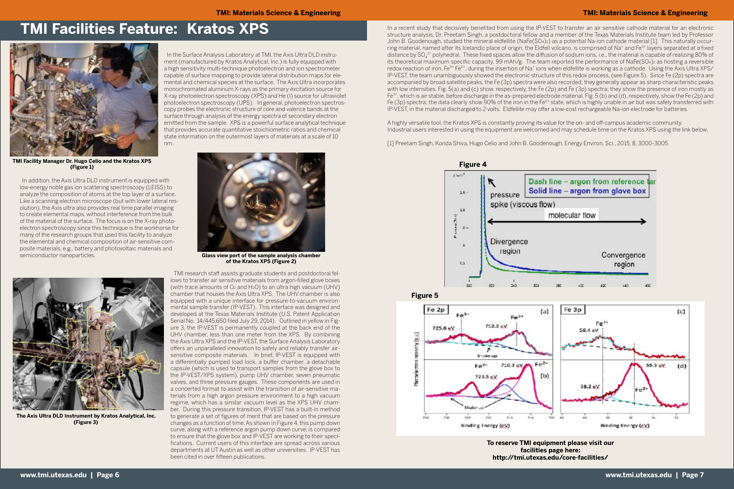In the Surface Analysis Laboratory at TMI, the Axis Ultra DLD instrument (manufactured by Kratos Analytical, Inc.) is fully equipped with a high sensitivity multi-technique photoelectron and ion spectrometer capable of surface mapping to provide lateral distribution maps for elemental and chemical species at the surface. The Axis Ultra incorporates monochromated aluminum X-rays as the primary excitation source for X-ray photoelectron spectroscopy (XPS) and He (I) source for ultraviolet photoelectron spectroscopy (UPS). In general, photoelectron spectroscopy probes the electronic structure of core and valence bands at the surface through analysis of the energy spectra of secondary electron emitted from the sample. XPS is a powerful surface analytical technique that provides accurate quantitative stoichiometric ratios and chemical state information on the outermost layers of materials at a scale of 10 nm.



**TMI Facility Manager Dr. Hugo Celio and the Kratos XPS (Figure 1)**

In a recent study that decisively benefited from using the IP-VEST to transfer an air sensitive cathode material for an electronic structure analysis, Dr. Preetam Singh, a postdoctoral fellow and a member of the Texas Materials Institute team led by Professor John B. Goodenough, studied the mineral eldfellite (NaFe(SO4)2) as a potential Na-ion cathode material [1]. This naturally occurring material, named after its Icelandic place of origin, the Eldfell volcano, is comprised of Na<sup>+</sup> and Fe<sup>3+</sup> layers separated at a fixed distance by SO4 2- polyhedral. These fixed spaces allow the diffusion of sodium ions, i.e., the material is capable of realizing 80% of its theoretical maximum specific capacity, 99 mAh/g. The team reported the performance of NaFe(SO4)2 as hosting a reversible redox reaction of iron, Fe<sup>3+</sup> Fe<sup>2+</sup>, during the insertion of Na<sup>+</sup> ions when eldfellite is working as a cathode. Using the Axis Ultra XPS/ IP-VEST, the team unambiguously showed the electronic structure of this redox process, (see Figure 5). Since Fe (2p) spectra are accompanied by broad satellite peaks, the Fe (3p) spectra were also recorded; they generally appear as sharp characteristic peaks with low intensities. Fig. 5(a) and (c) show, respectively, the Fe (2p) and Fe (3p) spectra; they show the presence of iron mostly as Fe3+, which is air stable, before discharge in the as-prepared electrode material. Fig. 5 (b) and (d), respectively, show the Fe (2p) and Fe (3p) spectra; the data clearly show 90% of the iron in the Fe<sup>2+</sup> state, which is highly unable in air but was safely transferred with IP-VEST, in the material discharged to 2 volts. Eldfellite may offer a low-cost rechargeable Na-ion electrode for batteries.

A highly versatile tool, the Kratos XPS is constantly proving its value for the on- and off-campus academic community. Industrial users interested in using the equipment are welcomed and may schedule time on the Kratos XPS using the link below.

[1] Preetam Singh, Konda Shiva, Hugo Celio and John B. Goodenough, Energy Environ. Sci., 2015, 8, 3000-3005



**The Axis Ultra DLD Instrument by Kratos Analytical, Inc. (Figure 3)**

TMI research staff assists graduate students and postdoctoral fellows to transfer air sensitive materials from argon-filled glove boxes (with trace amounts of  $O<sub>2</sub>$  and  $H<sub>2</sub>O$ ) to an ultra high vacuum (UHV) chamber that houses the Axis Ultra XPS. The UHV chamber is also equipped with a unique interface for pressure-to-vacuum environmental sample transfer (IP-VEST). This interface was designed and developed at the Texas Materials Institute (U.S. Patent Application Serial No. 14/445,650 filed July 29, 2014). Outlined in yellow in Figure 3, the IP-VEST is permanently coupled at the back end of the UHV chamber, less than one meter from the XPS. By combining the Axis Ultra XPS and the IP-VEST, the Surface Analysis Laboratory offers an unparalleled innovation to safely and reliably transfer airsensitive composite materials. In brief, IP-VEST is equipped with a differentially pumped load lock, a buffer chamber, a detachable capsule (which is used to transport samples from the glove box to the IP-VEST/XPS system), pump UHV chamber, seven pneumatic valves, and three pressure gauges. These components are used in a concerted format to assist with the transition of air-sensitive materials from a high argon pressure environment to a high vacuum regime, which has a similar vacuum level as the XPS UHV chamber. During this pressure transition, IP-VEST has a built-in method to generate a set of figures of merit that are based on the pressure changes as a function of time. As shown in Figure 4, this pump down curve, along with a reference argon pump down curve, is compared to ensure that the glove box and IP-VEST are working to their specifications. Current users of this interface are spread across various departments at UT Austin as well as other universities. IP-VEST has been cited in over fifteen publications.



# **TMI Facilities Feature: Kratos XPS**

 In addition, the Axis Ultra DLD instrument is equipped with low-energy noble gas ion scattering spectroscopy (LEISS) to analyze the composition of atoms at the top layer of a surface. Like a scanning electron microscope (but with lower lateral resolution), the Axis ultra also provides real time parallel imaging to create elemental maps, without interference from the bulk of the material of the surface. The focus is on the X-ray photoelectron spectroscopy since this technique is the workhorse for many of the research groups that used this facility to analyze the elemental and chemical composition of air-sensitive composite materials, e.g., battery and photovoltaic materials and semiconductor nanoparticles.

> **To reserve TMI equipment please visit our facilities page here: http://tmi.utexas.edu/core-facilities/**



**Glass view port of the sample analysis chamber of the Kratos XPS (Figure 2)**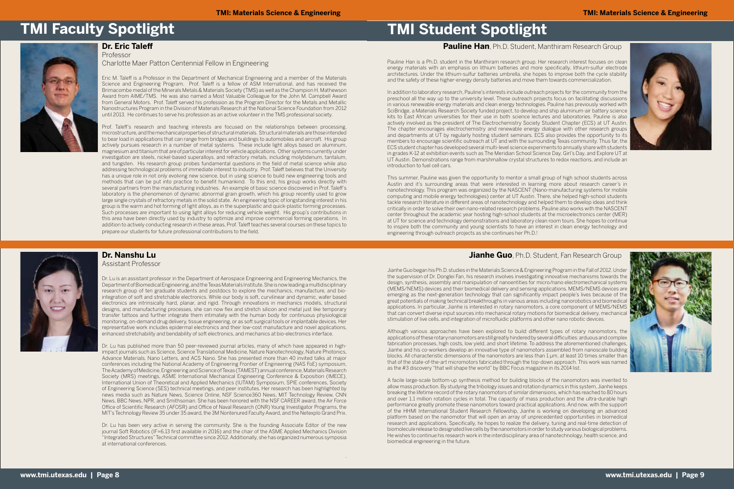### **Dr. Nanshu Lu**

Assistant Professor

Dr. Lu is an assistant professor in the Department of Aerospace Engineering and Engineering Mechanics, the Department of Biomedical Engineering, and the Texas Materials Institute. She is now leading a multidisciplinary research group of ten graduate students and postdocs to explore the mechanics, manufacture, and biointegration of soft and stretchable electronics. While our body is soft, curvilinear and dynamic, wafer based electronics are intrinsically hard, planar, and rigid. Through innovations in mechanics models, structural designs, and manufacturing processes, she can now flex and stretch silicon and metal just like temporary transfer tattoos and further integrate them intimately with the human body for continuous physiological monitoring, on-demand drug delivery, tissue engineering, or as soft surgical tools or implantable devices. Her representative work includes epidermal electronics and their low-cost manufacture and novel applications, enhanced stretchability and bendability of soft electronics, and mechanics at bio-electronics interface.

Dr. Lu has published more than 50 peer-reviewed journal articles, many of which have appeared in highimpact journals such as Science, Science Translational Medicine, Nature Nanotechnology, Nature Photonics, Advance Materials, Nano Letters, and ACS Nano. She has presented more than 40 invited talks at major conferences including the National Academy of Engineering Frontier of Engineering (NAS FoE) symposium, The Academy of Medicine, Engineering and Science of Texas (TAMEST) annual conference, Materials Research Society (MRS) meetings, ASME International Mechanical Engineering Conference & Exposition (IMECE), International Union of Theoretical and Applied Mechanics (IUTAM) Symposium, SPIE conferences, Society of Engineering Science (SES) technical meetings, and peer institutes. Her research has been highlighted by news media such as Nature News, Science Online, NSF Science360 News, MIT Technology Review, CNN News, BBC News, NPR, and Smithsonian. She has been honored with the NSF CAREER award, the Air Force Office of Scientific Research (AFOSR) and Office of Naval Research (ONR) Young Investigator Programs, the MIT's Technology Review 35 under 35 award, the 3M Nontenured Faculty Award, and the Netexplo Grand Prix.

Dr. Lu has been very active in serving the community. She is the founding Associate Editor of the new journal Soft Robotics (IF=6.13 first available in 2016) and the chair of the ASME Applied Mechanics Division "Integrated Structures" Technical committee since 2012. Additionally, she has organized numerous symposia at international conferences.

.

#### **Dr. Eric Taleff** Professor

Charlotte Maer Patton Centennial Fellow in Engineering

Eric M. Taleff is a Professor in the Department of Mechanical Engineering and a member of the Materials Science and Engineering Program. Prof. Taleff is a fellow of ASM International, and has received the Brimacombe medal of the Minerals Metals & Materials Society (TMS) as well as the Champion H. Mathewson Award from AIME/TMS. He was also named a Most Valuable Colleague for the John M. Campbell Award from General Motors. Prof. Taleff served his profession as the Program Director for the Metals and Metallic Nanostructures Program in the Division of Materials Research at the National Science Foundation from 2012 until 2013. He continues to serve his profession as an active volunteer in the TMS professional society.

Prof. Taleff's research and teaching interests are focused on the relationships between processing, microstructure, and the mechanical properties of structural materials. Structural materials are those intended to bear load in applications that can range from bridges and buildings to automobiles and aircraft. His group actively pursues research in a number of metal systems. These include light alloys based on aluminum, magnesium and titanium that are of particular interest for vehicle applications. Other systems currently under investigation are steels, nickel-based superalloys, and refractory metals, including molybdenum, tantalum, and tungsten. His research group probes fundamental questions in the field of metal science while also addressing technological problems of immediate interest to industry. Prof. Taleff believes that the University has a unique role in not only evolving new science, but in using science to build new engineering tools and methods that can be put into practice to benefit humankind. To this end, his group works directly with several partners from the manufacturing industries. An example of basic science discovered in Prof. Taleff's laboratory is the phenomenon of dynamic abnormal grain growth, which his group recently used to grow large single crystals of refractory metals in the solid state. An engineering topic of longstanding interest in his group is the warm and hot forming of light alloys, as in the superplastic and quick-plastic forming processes. Such processes are important to using light alloys for reducing vehicle weight. His group's contributions in this area have been directly used by industry to optimize and improve commercial forming operations. In addition to actively conducting research in these areas, Prof. Taleff teaches several courses on these topics to prepare our students for future professional contributions to the field.



Pauline Han is a Ph.D. student in the Manthiram research group. Her research interest focuses on clean energy materials with an emphasis on lithium batteries and more specifically, lithium-sulfur electrode architectures. Under the lithium-sulfur batteries umbrella, she hopes to improve both the cycle stability and the safety of these higher-energy density batteries and move them towards commercialization.

In addition to laboratory research, Pauline's interests include outreach projects for the community from the preschool all the way up to the university level. These outreach projects focus on facilitating discussions in various renewable energy materials and clean energy technologies. Pauline has previously worked with SciBridge, a Materials Research Society funded project, to develop and ship aluminum-air battery science kits to East African universities for their use in both science lectures and laboratories. Pauline is also actively involved as the president of The Electrochemistry Society Student Chapter (ECS) at UT Austin. The chapter encourages electrochemistry and renewable energy dialogue with other research groups and departments at UT by regularly hosting student seminars. ECS also provides the opportunity to its members to encourage scientific outreach at UT and with the surrounding Texas community. Thus far, the ECS student chapter has developed several multi-level science experiments to annually share with students in grades K-12 at exhibition events such as The Meridian School Science Day, Girl's Day, and Explore UT at UT Austin. Demonstrations range from marshmallow crystal structures to redox reactions, and include an introduction to fuel cell cars.

This summer, Pauline was given the opportunity to mentor a small group of high school students across Austin and it's surrounding areas that were interested in learning more about research career's in nanotechnology. This program was organized by the NASCENT (Nano-manufacturing systems for mobile computing and mobile energy technologies) center at UT Austin. There, she helped high-school students tackle research literature in different areas of nanotechnology and helped them to develop ideas and think critically in order to solve their own nano-related research problems. Pauline also works with the NASCENT center throughout the academic year hosting high-school students at the microelectronics center (MER) at UT for science and technology demonstrations and laboratory clean room tours. She hopes to continue to inspire both the community and young scientists to have an interest in clean energy technology and engineering through outreach projects as she continues her Ph.D.!



### **Jianhe Guo**, Ph.D. Student, Fan Research Group



Jianhe Guo began his Ph.D. studies in the Materials Science & Engineering Program in the Fall of 2012. Under the supervision of Dr. Donglei Fan, his research involves investigating innovative mechanisms towards the design, synthesis, assembly and manipulation of nanoentities for micro/nano electromechanical systems (MEMS/NEMS) devices and their biomedical delivery and sensing applications. MEMS/NEMS devices are emerging as the next-generation technology that can significantly impact people's lives because of the great potentials of making technical breakthroughs in various areas including nanorobotics and biomedical applications. In particular, Jianhe is interested in rotary nanomotors, a core component of MEMS/NEMS that can convert diverse input sources into mechanical rotary motions for biomedical delivery, mechanical stimulation of live cells, and integration of microfluidic platforms and other nano robotic devices.

Although various approaches have been explored to build different types of rotary nanomotors, the applications of these rotary nanomotors are still greatly hindered by several difficulties: arduous and complex fabrication processes, high costs, low yield, and short lifetime. To address the aforementioned challenges, Jianhe and his co-workers develop an innovative type of nanomotors assembled from nanoscale building blocks. All characteristic dimensions of the nanomotors are less than 1 μm, at least 10 times smaller than that of the state-of-the-art micromotors fabricated through the top-down approach. This work was named as the #3 discovery "that will shape the world" by BBC Focus magazine in its 2014 list.

A facile large-scale bottom-up synthesis method for building blocks of the nanomotors was invented to allow mass production. By studying the tribology issues and rotation dynamics in this system, Jianhe keeps breaking the lifetime record of the rotary nanomotors of similar dimensions, which has reached to 80 hours and over 1.1 million rotation cycles in total. The capacity of mass production and the ultra-durable high performance greatly promote these nanomotors toward practical applications. And now, with the support of the HHMI International Student Research Fellowship, Jianhe is working on developing an advanced platform based on the nanomotor that will open an array of unprecedented opportunities in biomedical research and applications. Specifically, he hopes to realize the delivery, tuning and real-time detection of biomolecule release to designated live cells by the nanomotors in order to study various biological problems. He wishes to continue his research work in the interdisciplinary area of nanotechnology, health science, and biomedical engineering in the future.



# **TMI Faculty Spotlight TMI Student Spotlight**

### **Pauline Han**, Ph.D. Student, Manthiram Research Group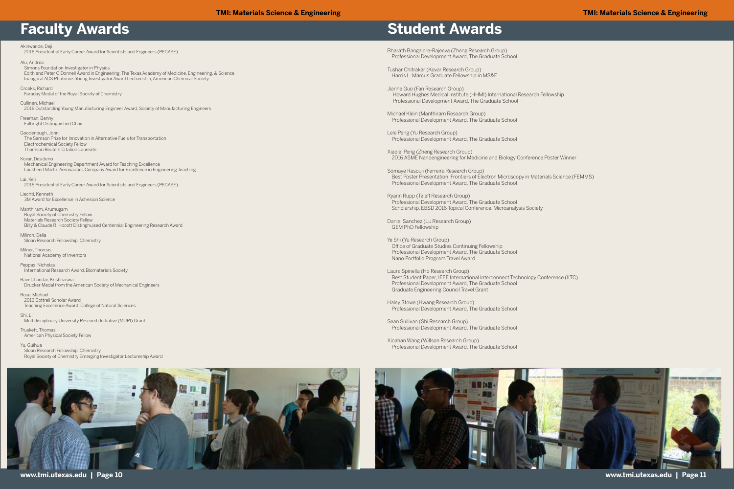**www.tmi.utexas.edu | Page 10 www.tmi.utexas.edu | Page 11**

Akinwande, Deji 2016 Presidential Early Career Award for Scientists and Engineers (PECASE)

Alu, Andrea

Simons Foundation Investigator in Physics

 Edith and Peter O'Donnell Award in Engineering, The Texas Academy of Medicine, Engineering, & Science Inaugural ACS Photonics Young Investigator Award Lectureship, American Chemical Society

Crooks, Richard Faraday Medal of the Royal Society of Chemistry

Cullinan, Michael 2016 Outstanding Young Manufacturing Engineer Award, Society of Manufacturing Engineers

Freeman, Benny Fulbright Distinguished Chair

Goodenough, John The Samson Prize for Innovation in Alternative Fuels for Transportation Electrochemical Society Fellow Thomson Reuters Citation Laureate

Kovar, Desiderio Mechanical Engineering Department Award for Teaching Excellence Lockheed Martin Aeronautics Company Award for Excellence in Engineering Teaching

Lai, Keji 2016 Presidential Early Career Award for Scientists and Engineers (PECASE)

Liechti, Kenneth 3M Award for Excellence in Adhesion Science

Manthiram, Arumugam Royal Society of Chemistry Fellow Materials Research Society Fellow Billy & Claude R. Hocott Distinghuised Centennial Engineering Research Award

Miliron, Delia Sloan Research Fellowship, Chemistry

Milner, Thomas National Academy of Inventors

Peppas, Nicholas International Research Award, Biomaterials Society

Ravi-Chandar, Krishnaswa Drucker Medal from the American Society of Mechanical Engineers

Rose, Michael 2016 Cottrell Scholar Award Teaching Excellence Award, College of Natural Sciences

Shi, Li Multidisciplinary University Research Initiative (MURI) Grant

Truskett, Thomas American Physical Society Fellow

Yu, Guihua Sloan Research Fellowship, Chemistry Royal Society of Chemistry Emerging Investigator Lectureship Award



# **Faculty Awards Student Awards**

Bharath Bangalore-Rajeeva (Zheng Research Group) Professional Development Award, The Graduate School

Tushar Chitrakar (Kovar Research Group) Harris L. Marcus Graduate Fellowship in MS&E

Jianhe Guo (Fan Research Group) Howard Hughes Medical Institute (HHMI) International Research Fellowship Professional Development Award, The Graduate School

Michael Klein (Manthiram Research Group) Professional Development Award, The Graduate School

Lele Peng (Yu Research Group) Professional Development Award, The Graduate School

Xiaolei Peng (Zheng Research Group) 2016 ASME Nanoengineering for Medicine and Biology Conference Poster Winner

Somaye Rasouli (Ferreira Research Group) Best Poster Presentation, Frontiers of Electron Microscopy in Materials Science (FEMMS) Professional Development Award, The Graduate School

Ryann Rupp (Taleff Research Group) Professional Development Award, The Graduate School Scholarship, EBSD 2016 Topical Conference, Microanalysis Society

Daniel Sanchez (Lu Research Group) GEM PhD Fellowship

Ye Shi (Yu Research Group) Office of Graduate Studies Continuing Fellowship Professional Development Award, The Graduate School Nano Portfolio Program Travel Award

Laura Spinella (Ho Research Group) Best Student Paper, IEEE International Interconnect Technology Conference (IITC) Professional Development Award, The Graduate School Graduate Engineering Council Travel Grant

Haley Stowe (Hwang Research Group) Professional Development Award, The Graduate School

Sean Sullivan (Shi Research Group) Professional Development Award, The Graduate School

Xioahan Wang (Willson Research Group) Professional Development Award, The Graduate School